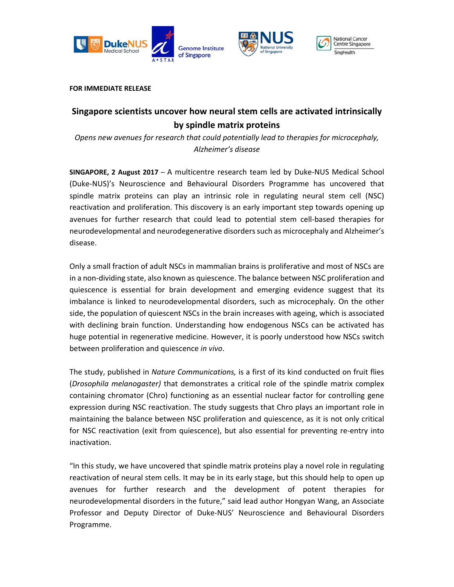





**FOR IMMEDIATE RELEASE**

# **Singapore scientists uncover how neural stem cells are activated intrinsically by spindle matrix proteins**

*Opens new avenues for research that could potentially lead to therapies for microcephaly, Alzheimer's disease* 

**SINGAPORE, 2 August 2017** – A multicentre research team led by Duke-NUS Medical School (Duke-NUS)'s Neuroscience and Behavioural Disorders Programme has uncovered that spindle matrix proteins can play an intrinsic role in regulating neural stem cell (NSC) reactivation and proliferation. This discovery is an early important step towards opening up avenues for further research that could lead to potential stem cell-based therapies for neurodevelopmental and neurodegenerative disorders such as microcephaly and Alzheimer's disease.

Only a small fraction of adult NSCs in mammalian brains is proliferative and most of NSCs are in a non-dividing state, also known as quiescence. The balance between NSC proliferation and quiescence is essential for brain development and emerging evidence suggest that its imbalance is linked to neurodevelopmental disorders, such as microcephaly. On the other side, the population of quiescent NSCs in the brain increases with ageing, which is associated with declining brain function. Understanding how endogenous NSCs can be activated has huge potential in regenerative medicine. However, it is poorly understood how NSCs switch between proliferation and quiescence *in vivo*.

The study, published in *Nature Communications,* is a first of its kind conducted on fruit flies (*Drosophila melanogaster)* that demonstrates a critical role of the spindle matrix complex containing chromator (Chro) functioning as an essential nuclear factor for controlling gene expression during NSC reactivation. The study suggests that Chro plays an important role in maintaining the balance between NSC proliferation and quiescence, as it is not only critical for NSC reactivation (exit from quiescence), but also essential for preventing re-entry into inactivation.

"In this study, we have uncovered that spindle matrix proteins play a novel role in regulating reactivation of neural stem cells. It may be in its early stage, but this should help to open up avenues for further research and the development of potent therapies for neurodevelopmental disorders in the future," said lead author Hongyan Wang, an Associate Professor and Deputy Director of Duke-NUS' Neuroscience and Behavioural Disorders Programme.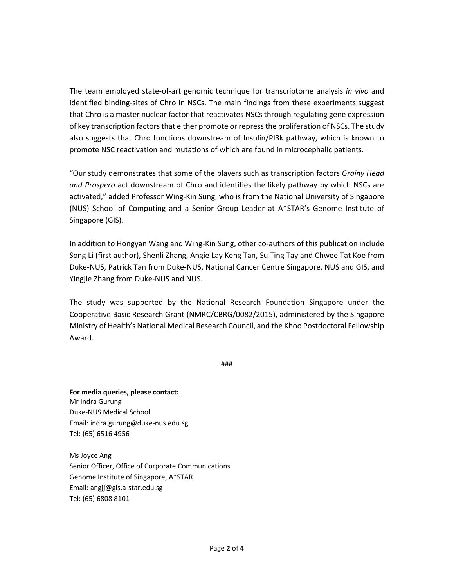The team employed state-of-art genomic technique for transcriptome analysis *in vivo* and identified binding-sites of Chro in NSCs. The main findings from these experiments suggest that Chro is a master nuclear factor that reactivates NSCs through regulating gene expression of key transcription factors that either promote or repress the proliferation of NSCs. The study also suggests that Chro functions downstream of Insulin/PI3k pathway, which is known to promote NSC reactivation and mutations of which are found in microcephalic patients.

"Our study demonstrates that some of the players such as transcription factors *Grainy Head and Prospero* act downstream of Chro and identifies the likely pathway by which NSCs are activated," added Professor Wing-Kin Sung, who is from the National University of Singapore (NUS) School of Computing and a Senior Group Leader at A\*STAR's Genome Institute of Singapore (GIS).

In addition to Hongyan Wang and Wing-Kin Sung, other co-authors of this publication include Song Li (first author), Shenli Zhang, Angie Lay Keng Tan, Su Ting Tay and Chwee Tat Koe from Duke-NUS, Patrick Tan from Duke-NUS, National Cancer Centre Singapore, NUS and GIS, and Yingjie Zhang from Duke-NUS and NUS.

The study was supported by the National Research Foundation Singapore under the Cooperative Basic Research Grant (NMRC/CBRG/0082/2015), administered by the Singapore Ministry of Health's National Medical Research Council, and the Khoo Postdoctoral Fellowship Award.

###

**For media queries, please contact:**  Mr Indra Gurung Duke-NUS Medical School Email: indra.gurung@duke-nus.edu.sg Tel: (65) 6516 4956

Ms Joyce Ang Senior Officer, Office of Corporate Communications Genome Institute of Singapore, A\*STAR Email: angjj@gis.a-star.edu.sg Tel: (65) 6808 8101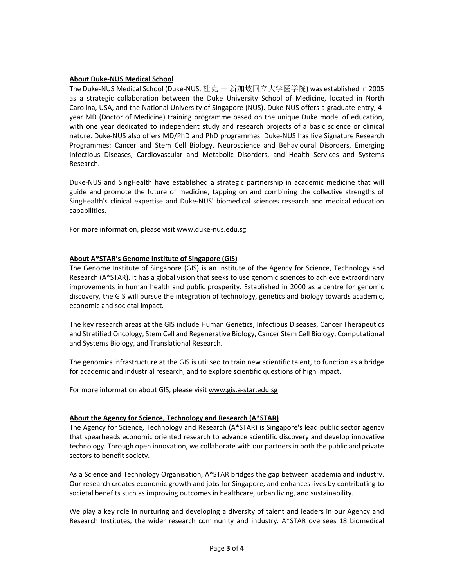## **About Duke-NUS Medical School**

The Duke-NUS Medical School (Duke-NUS, 杜克 一 新加坡国立大学医学院) was established in 2005 as a strategic collaboration between the Duke University School of Medicine, located in North Carolina, USA, and the National University of Singapore (NUS). Duke-NUS offers a graduate-entry, 4 year MD (Doctor of Medicine) training programme based on the unique Duke model of education, with one year dedicated to independent study and research projects of a basic science or clinical nature. Duke-NUS also offers MD/PhD and PhD programmes. Duke-NUS has five Signature Research Programmes: Cancer and Stem Cell Biology, Neuroscience and Behavioural Disorders, Emerging Infectious Diseases, Cardiovascular and Metabolic Disorders, and Health Services and Systems Research.

Duke-NUS and SingHealth have established a strategic partnership in academic medicine that will guide and promote the future of medicine, tapping on and combining the collective strengths of SingHealth's clinical expertise and Duke-NUS' biomedical sciences research and medical education capabilities.

For more information, please visit www.duke-nus.edu.sg

## **About A\*STAR's Genome Institute of Singapore (GIS)**

The Genome Institute of Singapore (GIS) is an institute of the Agency for Science, Technology and Research (A\*STAR). It has a global vision that seeks to use genomic sciences to achieve extraordinary improvements in human health and public prosperity. Established in 2000 as a centre for genomic discovery, the GIS will pursue the integration of technology, genetics and biology towards academic, economic and societal impact.

The key research areas at the GIS include Human Genetics, Infectious Diseases, Cancer Therapeutics and Stratified Oncology, Stem Cell and Regenerative Biology, Cancer Stem Cell Biology, Computational and Systems Biology, and Translational Research.

The genomics infrastructure at the GIS is utilised to train new scientific talent, to function as a bridge for academic and industrial research, and to explore scientific questions of high impact.

For more information about GIS, please visit www.gis.a-star.edu.sg

#### **About the Agency for Science, Technology and Research (A\*STAR)**

The Agency for Science, Technology and Research (A\*STAR) is Singapore's lead public sector agency that spearheads economic oriented research to advance scientific discovery and develop innovative technology. Through open innovation, we collaborate with our partners in both the public and private sectors to benefit society.

As a Science and Technology Organisation, A\*STAR bridges the gap between academia and industry. Our research creates economic growth and jobs for Singapore, and enhances lives by contributing to societal benefits such as improving outcomes in healthcare, urban living, and sustainability.

We play a key role in nurturing and developing a diversity of talent and leaders in our Agency and Research Institutes, the wider research community and industry. A\*STAR oversees 18 biomedical